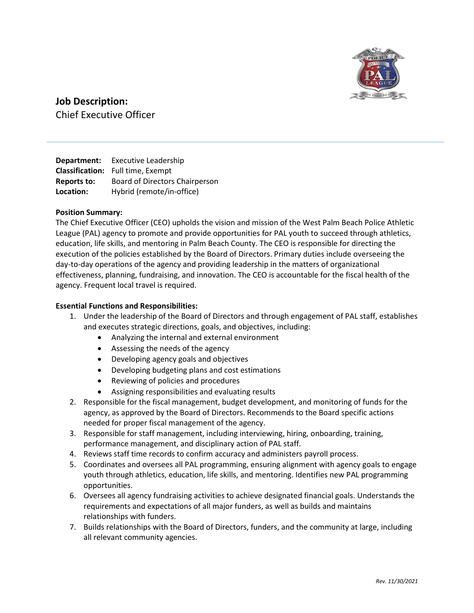

# Job Description:

Chief Executive Officer

Department: Executive Leadership Classification: Full time, Exempt Reports to: Board of Directors Chairperson Location: Hybrid (remote/in-office)

# Position Summary:

The Chief Executive Officer (CEO) upholds the vision and mission of the West Palm Beach Police Athletic League (PAL) agency to promote and provide opportunities for PAL youth to succeed through athletics, education, life skills, and mentoring in Palm Beach County. The CEO is responsible for directing the execution of the policies established by the Board of Directors. Primary duties include overseeing the day-to-day operations of the agency and providing leadership in the matters of organizational effectiveness, planning, fundraising, and innovation. The CEO is accountable for the fiscal health of the agency. Frequent local travel is required.

## Essential Functions and Responsibilities:

- 1. Under the leadership of the Board of Directors and through engagement of PAL staff, establishes and executes strategic directions, goals, and objectives, including:
	- Analyzing the internal and external environment
	- Assessing the needs of the agency
	- Developing agency goals and objectives
	- Developing budgeting plans and cost estimations
	- Reviewing of policies and procedures
	- Assigning responsibilities and evaluating results
- 2. Responsible for the fiscal management, budget development, and monitoring of funds for the agency, as approved by the Board of Directors. Recommends to the Board specific actions needed for proper fiscal management of the agency.
- 3. Responsible for staff management, including interviewing, hiring, onboarding, training, performance management, and disciplinary action of PAL staff.
- 4. Reviews staff time records to confirm accuracy and administers payroll process.
- 5. Coordinates and oversees all PAL programming, ensuring alignment with agency goals to engage youth through athletics, education, life skills, and mentoring. Identifies new PAL programming opportunities.
- 6. Oversees all agency fundraising activities to achieve designated financial goals. Understands the requirements and expectations of all major funders, as well as builds and maintains relationships with funders.
- 7. Builds relationships with the Board of Directors, funders, and the community at large, including all relevant community agencies.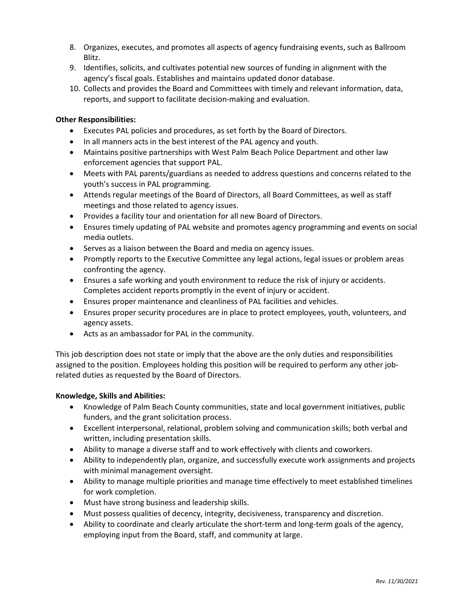- 8. Organizes, executes, and promotes all aspects of agency fundraising events, such as Ballroom Blitz.
- 9. Identifies, solicits, and cultivates potential new sources of funding in alignment with the agency's fiscal goals. Establishes and maintains updated donor database.
- 10. Collects and provides the Board and Committees with timely and relevant information, data, reports, and support to facilitate decision-making and evaluation.

## Other Responsibilities:

- Executes PAL policies and procedures, as set forth by the Board of Directors.
- In all manners acts in the best interest of the PAL agency and youth.
- Maintains positive partnerships with West Palm Beach Police Department and other law enforcement agencies that support PAL.
- Meets with PAL parents/guardians as needed to address questions and concerns related to the youth's success in PAL programming.
- Attends regular meetings of the Board of Directors, all Board Committees, as well as staff meetings and those related to agency issues.
- Provides a facility tour and orientation for all new Board of Directors.
- Ensures timely updating of PAL website and promotes agency programming and events on social media outlets.
- Serves as a liaison between the Board and media on agency issues.
- Promptly reports to the Executive Committee any legal actions, legal issues or problem areas confronting the agency.
- Ensures a safe working and youth environment to reduce the risk of injury or accidents. Completes accident reports promptly in the event of injury or accident.
- Ensures proper maintenance and cleanliness of PAL facilities and vehicles.
- Ensures proper security procedures are in place to protect employees, youth, volunteers, and agency assets.
- Acts as an ambassador for PAL in the community.

This job description does not state or imply that the above are the only duties and responsibilities assigned to the position. Employees holding this position will be required to perform any other jobrelated duties as requested by the Board of Directors.

#### Knowledge, Skills and Abilities:

- Knowledge of Palm Beach County communities, state and local government initiatives, public funders, and the grant solicitation process.
- Excellent interpersonal, relational, problem solving and communication skills; both verbal and written, including presentation skills.
- Ability to manage a diverse staff and to work effectively with clients and coworkers.
- Ability to independently plan, organize, and successfully execute work assignments and projects with minimal management oversight.
- Ability to manage multiple priorities and manage time effectively to meet established timelines for work completion.
- Must have strong business and leadership skills.
- Must possess qualities of decency, integrity, decisiveness, transparency and discretion.
- Ability to coordinate and clearly articulate the short-term and long-term goals of the agency, employing input from the Board, staff, and community at large.